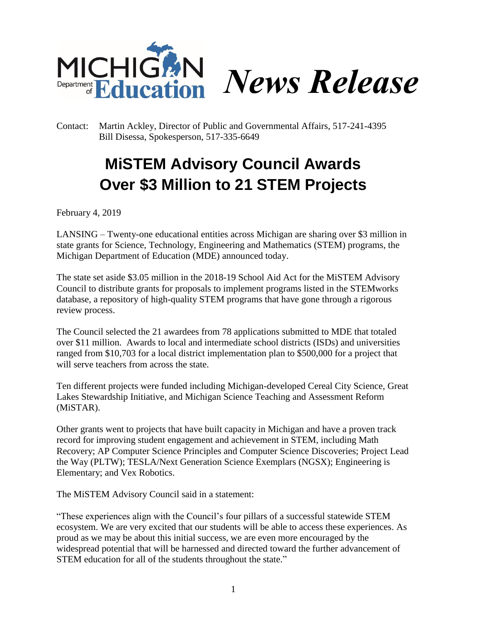

Contact: Martin Ackley, Director of Public and Governmental Affairs, 517-241-4395 Bill Disessa, Spokesperson, 517-335-6649

## **MiSTEM Advisory Council Awards Over \$3 Million to 21 STEM Projects**

February 4, 2019

LANSING – Twenty-one educational entities across Michigan are sharing over \$3 million in state grants for Science, Technology, Engineering and Mathematics (STEM) programs, the Michigan Department of Education (MDE) announced today.

The state set aside \$3.05 million in the 2018-19 School Aid Act for the MiSTEM Advisory Council to distribute grants for proposals to implement programs listed in the STEMworks database, a repository of high-quality STEM programs that have gone through a rigorous review process.

The Council selected the 21 awardees from 78 applications submitted to MDE that totaled over \$11 million. Awards to local and intermediate school districts (ISDs) and universities ranged from \$10,703 for a local district implementation plan to \$500,000 for a project that will serve teachers from across the state.

Ten different projects were funded including Michigan-developed Cereal City Science, Great Lakes Stewardship Initiative, and Michigan Science Teaching and Assessment Reform (MiSTAR).

Other grants went to projects that have built capacity in Michigan and have a proven track record for improving student engagement and achievement in STEM, including Math Recovery; AP Computer Science Principles and Computer Science Discoveries; Project Lead the Way (PLTW); TESLA/Next Generation Science Exemplars (NGSX); Engineering is Elementary; and Vex Robotics.

The MiSTEM Advisory Council said in a statement:

"These experiences align with the Council's four pillars of a successful statewide STEM ecosystem. We are very excited that our students will be able to access these experiences. As proud as we may be about this initial success, we are even more encouraged by the widespread potential that will be harnessed and directed toward the further advancement of STEM education for all of the students throughout the state."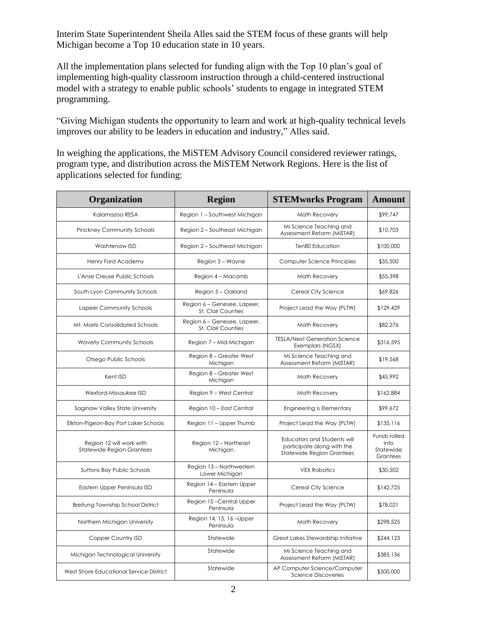Interim State Superintendent Sheila Alles said the STEM focus of these grants will help Michigan become a Top 10 education state in 10 years.

All the implementation plans selected for funding align with the Top 10 plan's goal of implementing high-quality classroom instruction through a child-centered instructional model with a strategy to enable public schools' students to engage in integrated STEM programming.

"Giving Michigan students the opportunity to learn and work at high-quality technical levels improves our ability to be leaders in education and industry," Alles said.

In weighing the applications, the MiSTEM Advisory Council considered reviewer ratings, program type, and distribution across the MiSTEM Network Regions. Here is the list of applications selected for funding:

| Organization                                                 | <b>Region</b>                                            | <b>STEMworks Program</b>                                                                      | <b>Amount</b>                                 |
|--------------------------------------------------------------|----------------------------------------------------------|-----------------------------------------------------------------------------------------------|-----------------------------------------------|
| Kalamazoo RESA                                               | Region 1 - Southwest Michigan                            | <b>Math Recovery</b>                                                                          | \$99,747                                      |
| Pinckney Community Schools                                   | Region 2 - Southeast Michigan                            | Mi Science Teaching and<br>Assessment Reform (MiSTAR)                                         | \$10,703                                      |
| Washtenaw ISD                                                | Region 2 - Southeast Michigan                            | Ten80 Education                                                                               | \$100,000                                     |
| Henry Ford Academy                                           | Region 3 - Wayne                                         | Computer Science Principles                                                                   | \$35,500                                      |
| L'Anse Creuse Public Schools                                 | Region 4 - Macomb                                        | Math Recovery                                                                                 | \$55,398                                      |
| South Lyon Community Schools                                 | Region 5 - Oakland                                       | Cereal City Science                                                                           | \$69,826                                      |
| Lapeer Community Schools                                     | Region 6 - Genesee, Lapeer,<br><b>St. Clair Counties</b> | Project Lead the Way (PLTW)                                                                   | \$129,429                                     |
| Mt. Morris Consolidated Schools                              | Region 6 - Genesee, Lapeer,<br>St. Clair Counties        | Math Recovery                                                                                 | \$82,276                                      |
| <b>Waverly Community Schools</b>                             | Region 7 - Mid-Michigan                                  | <b>TESLA/Next Generation Science</b><br>Exemplars (NGSX)                                      | \$316,595                                     |
| Otsego Public Schools                                        | Region 8 - Greater West<br>Michigan                      | Mi Science Teaching and<br>Assessment Reform (MiSTAR)                                         | \$19,568                                      |
| Kent ISD                                                     | Region 8 - Greater West<br>Michigan                      | Math Recovery                                                                                 | \$45,992                                      |
| Wexford-Missaukee ISD                                        | Region 9 - West Central                                  | Math Recovery                                                                                 | \$162,884                                     |
| Saginaw Valley State University                              | Region 10 - East Central                                 | Engineering is Elementary                                                                     | \$99,672                                      |
| Elkton-Pigeon-Bay Port Laker Schools                         | Region 11 - Upper Thumb                                  | Project Lead the Way (PLTW)                                                                   | \$135,116                                     |
| Region 12 will work with<br><b>Statewide Region Grantees</b> | Region 12 - Northeast<br>Michigan                        | Educators and Students will<br>participate along with the<br><b>Statewide Region Grantees</b> | Funds rolled<br>into<br>Statewide<br>Grantees |
| Suttons Bay Public Schools                                   | Region 13 - Northwestern<br>Lower Michigan               | <b>VEX Robotics</b>                                                                           | \$30,502                                      |
| Eastern Upper Peninsula ISD                                  | Region 14 - Eastern Upper<br>Peninsula                   | Cereal City Science                                                                           | \$142,725                                     |
| Breitung Township School District                            | Region 15-Central Upper<br>Peninsula                     | Project Lead the Way (PLTW)                                                                   | \$78,021                                      |
| Northern Michigan University                                 | Region 14, 15, 16-Upper<br>Peninsula                     | <b>Math Recovery</b>                                                                          | \$298,525                                     |
| Copper Country ISD                                           | Statewide                                                | Great Lakes Stewardship Initiative                                                            | \$244,123                                     |
| Michigan Technological University                            | Statewide                                                | Mi Science Teaching and<br>Assessment Reform (MiSTAR)                                         | \$385,136                                     |
| West Shore Educational Service District                      | Statewide                                                | AP Computer Science/Computer<br><b>Science Discoveries</b>                                    | \$500,000                                     |